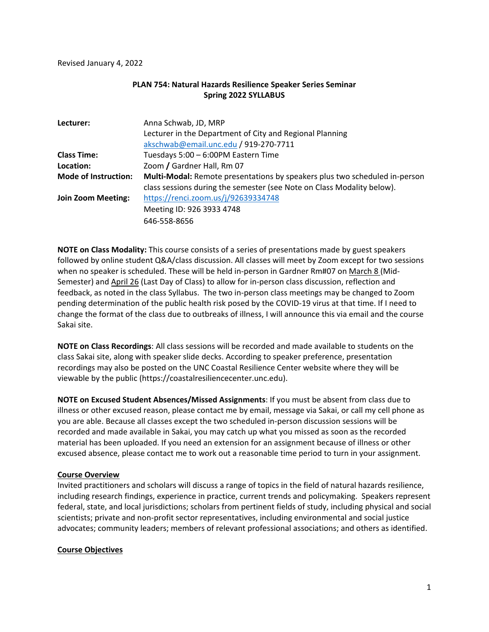Revised January 4, 2022

### **PLAN 754: Natural Hazards Resilience Speaker Series Seminar Spring 2022 SYLLABUS**

| Lecturer:                   | Anna Schwab, JD, MRP                                                       |
|-----------------------------|----------------------------------------------------------------------------|
|                             | Lecturer in the Department of City and Regional Planning                   |
|                             | akschwab@email.unc.edu / 919-270-7711                                      |
| <b>Class Time:</b>          | Tuesdays 5:00 - 6:00PM Eastern Time                                        |
| Location:                   | Zoom / Gardner Hall, Rm 07                                                 |
| <b>Mode of Instruction:</b> | Multi-Modal: Remote presentations by speakers plus two scheduled in-person |
|                             | class sessions during the semester (see Note on Class Modality below).     |
| <b>Join Zoom Meeting:</b>   | https://renci.zoom.us/j/92639334748                                        |
|                             | Meeting ID: 926 3933 4748                                                  |
|                             | 646-558-8656                                                               |

**NOTE on Class Modality:** This course consists of a series of presentations made by guest speakers followed by online student Q&A/class discussion. All classes will meet by Zoom except for two sessions when no speaker is scheduled. These will be held in-person in Gardner Rm#07 on March 8 (Mid-Semester) and April 26 (Last Day of Class) to allow for in-person class discussion, reflection and feedback, as noted in the class Syllabus. The two in-person class meetings may be changed to Zoom pending determination of the public health risk posed by the COVID-19 virus at that time. If I need to change the format of the class due to outbreaks of illness, I will announce this via email and the course Sakai site.

**NOTE on Class Recordings**: All class sessions will be recorded and made available to students on the class Sakai site, along with speaker slide decks. According to speaker preference, presentation recordings may also be posted on the UNC Coastal Resilience Center website where they will be viewable by the public (https://coastalresiliencecenter.unc.edu).

**NOTE on Excused Student Absences/Missed Assignments**: If you must be absent from class due to illness or other excused reason, please contact me by email, message via Sakai, or call my cell phone as you are able. Because all classes except the two scheduled in-person discussion sessions will be recorded and made available in Sakai, you may catch up what you missed as soon as the recorded material has been uploaded. If you need an extension for an assignment because of illness or other excused absence, please contact me to work out a reasonable time period to turn in your assignment.

### **Course Overview**

Invited practitioners and scholars will discuss a range of topics in the field of natural hazards resilience, including research findings, experience in practice, current trends and policymaking. Speakers represent federal, state, and local jurisdictions; scholars from pertinent fields of study, including physical and social scientists; private and non-profit sector representatives, including environmental and social justice advocates; community leaders; members of relevant professional associations; and others as identified.

#### **Course Objectives**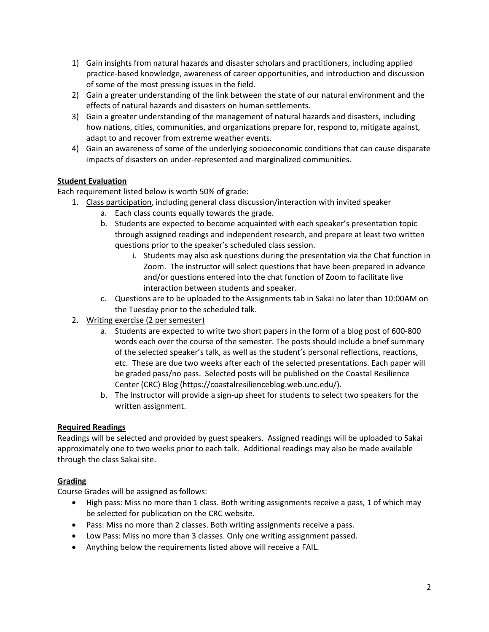- 1) Gain insights from natural hazards and disaster scholars and practitioners, including applied practice-based knowledge, awareness of career opportunities, and introduction and discussion of some of the most pressing issues in the field.
- 2) Gain a greater understanding of the link between the state of our natural environment and the effects of natural hazards and disasters on human settlements.
- 3) Gain a greater understanding of the management of natural hazards and disasters, including how nations, cities, communities, and organizations prepare for, respond to, mitigate against, adapt to and recover from extreme weather events.
- 4) Gain an awareness of some of the underlying socioeconomic conditions that can cause disparate impacts of disasters on under-represented and marginalized communities.

# **Student Evaluation**

Each requirement listed below is worth 50% of grade:

- 1. Class participation, including general class discussion/interaction with invited speaker
	- a. Each class counts equally towards the grade.
	- b. Students are expected to become acquainted with each speaker's presentation topic through assigned readings and independent research, and prepare at least two written questions prior to the speaker's scheduled class session.
		- i. Students may also ask questions during the presentation via the Chat function in Zoom. The instructor will select questions that have been prepared in advance and/or questions entered into the chat function of Zoom to facilitate live interaction between students and speaker.
	- c. Questions are to be uploaded to the Assignments tab in Sakai no later than 10:00AM on the Tuesday prior to the scheduled talk.
- 2. Writing exercise (2 per semester)
	- a. Students are expected to write two short papers in the form of a blog post of 600-800 words each over the course of the semester. The posts should include a brief summary of the selected speaker's talk, as well as the student's personal reflections, reactions, etc. These are due two weeks after each of the selected presentations. Each paper will be graded pass/no pass. Selected posts will be published on the Coastal Resilience Center (CRC) Blog (https://coastalresilienceblog.web.unc.edu/).
	- b. The Instructor will provide a sign-up sheet for students to select two speakers for the written assignment.

# **Required Readings**

Readings will be selected and provided by guest speakers. Assigned readings will be uploaded to Sakai approximately one to two weeks prior to each talk. Additional readings may also be made available through the class Sakai site.

# **Grading**

Course Grades will be assigned as follows:

- High pass: Miss no more than 1 class. Both writing assignments receive a pass, 1 of which may be selected for publication on the CRC website.
- Pass: Miss no more than 2 classes. Both writing assignments receive a pass.
- Low Pass: Miss no more than 3 classes. Only one writing assignment passed.
- Anything below the requirements listed above will receive a FAIL.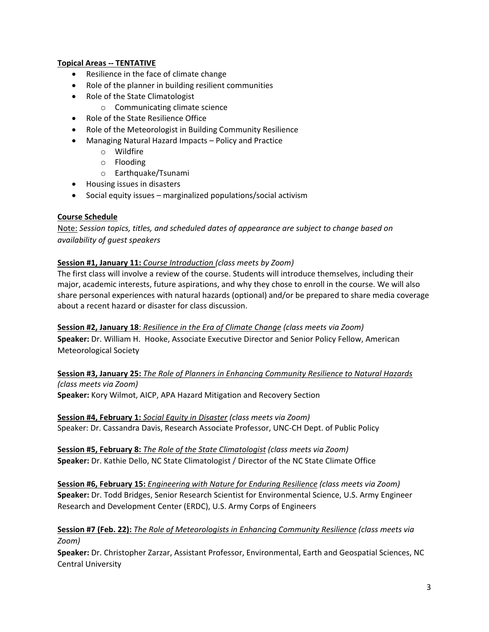### **Topical Areas -- TENTATIVE**

- Resilience in the face of climate change
- Role of the planner in building resilient communities
- Role of the State Climatologist
	- o Communicating climate science
- Role of the State Resilience Office
- Role of the Meteorologist in Building Community Resilience
- Managing Natural Hazard Impacts Policy and Practice
	- o Wildfire
	- o Flooding
	- o Earthquake/Tsunami
- Housing issues in disasters
- Social equity issues marginalized populations/social activism

### **Course Schedule**

Note: *Session topics, titles, and scheduled dates of appearance are subject to change based on availability of guest speakers* 

### **Session #1, January 11:** *Course Introduction (class meets by Zoom)*

The first class will involve a review of the course. Students will introduce themselves, including their major, academic interests, future aspirations, and why they chose to enroll in the course. We will also share personal experiences with natural hazards (optional) and/or be prepared to share media coverage about a recent hazard or disaster for class discussion.

**Session #2, January 18**: *Resilience in the Era of Climate Change (class meets via Zoom)* **Speaker:** Dr. William H. Hooke, Associate Executive Director and Senior Policy Fellow, American Meteorological Society

**Session #3, January 25:** *The Role of Planners in Enhancing Community Resilience to Natural Hazards (class meets via Zoom)*

**Speaker:** Kory Wilmot, AICP, APA Hazard Mitigation and Recovery Section

**Session #4, February 1:** *Social Equity in Disaster (class meets via Zoom)* Speaker: Dr. Cassandra Davis, Research Associate Professor, UNC-CH Dept. of Public Policy

**Session #5, February 8:** *The Role of the State Climatologist (class meets via Zoom)* **Speaker:** Dr. Kathie Dello, NC State Climatologist / Director of the NC State Climate Office

**Session #6, February 15:** *Engineering with Nature for Enduring Resilience (class meets via Zoom)* **Speaker:** Dr. Todd Bridges, Senior Research Scientist for Environmental Science, U.S. Army Engineer Research and Development Center (ERDC), U.S. Army Corps of Engineers

# **Session #7 (Feb. 22):** *The Role of Meteorologists in Enhancing Community Resilience (class meets via Zoom)*

**Speaker:** Dr. Christopher Zarzar, Assistant Professor, Environmental, Earth and Geospatial Sciences, NC Central University